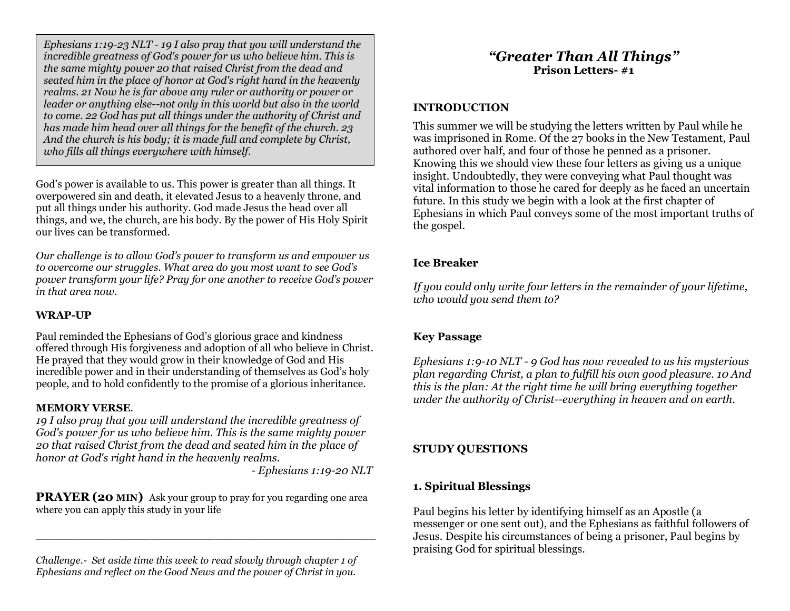*Ephesians 1:19-23 NLT - 19 I also pray that you will understand the incredible greatness of God's power for us who believe him. This is the same mighty power 20 that raised Christ from the dead and seated him in the place of honor at God's right hand in the heavenly realms. 21 Now he is far above any ruler or authority or power or leader or anything else--not only in this world but also in the world to come. 22 God has put all things under the authority of Christ and has made him head over all things for the benefit of the church. 23 And the church is his body; it is made full and complete by Christ, who fills all things everywhere with himself.*

God's power is available to us. This power is greater than all things. It overpowered sin and death, it elevated Jesus to a heavenly throne, and put all things under his authority. God made Jesus the head over all things, and we, the church, are his body. By the power of His Holy Spirit our lives can be transformed.

*Our challenge is to allow God's power to transform us and empower us to overcome our struggles. What area do you most want to see God's power transform your life? Pray for one another to receive God's power in that area now.* 

#### **WRAP-UP**

Paul reminded the Ephesians of God's glorious grace and kindness offered through His forgiveness and adoption of all who believe in Christ. He prayed that they would grow in their knowledge of God and His incredible power and in their understanding of themselves as God's holy people, and to hold confidently to the promise of a glorious inheritance.

#### **MEMORY VERSE***.*

*19 I also pray that you will understand the incredible greatness of God's power for us who believe him. This is the same mighty power 20 that raised Christ from the dead and seated him in the place of honor at God's right hand in the heavenly realms.*

*- Ephesians 1:19-20 NLT*

**PRAYER (20 MIN)** Ask your group to pray for you regarding one area where you can apply this study in your life

\_\_\_\_\_\_\_\_\_\_\_\_\_\_\_\_\_\_\_\_\_\_\_\_\_\_\_\_\_\_\_\_\_\_\_\_\_\_\_\_\_\_\_\_\_\_\_\_\_\_\_\_\_

*Challenge.- Set aside time this week to read slowly through chapter 1 of Ephesians and reflect on the Good News and the power of Christ in you.*

# *"Greater Than All Things"* **Prison Letters- #1**

#### **INTRODUCTION**

This summer we will be studying the letters written by Paul while he was imprisoned in Rome. Of the 27 books in the New Testament, Paul authored over half, and four of those he penned as a prisoner. Knowing this we should view these four letters as giving us a unique insight. Undoubtedly, they were conveying what Paul thought was vital information to those he cared for deeply as he faced an uncertain future. In this study we begin with a look at the first chapter of Ephesians in which Paul conveys some of the most important truths of the gospel.

## **Ice Breaker**

*If you could only write four letters in the remainder of your lifetime, who would you send them to?*

## **Key Passage**

*Ephesians 1:9-10 NLT - 9 God has now revealed to us his mysterious plan regarding Christ, a plan to fulfill his own good pleasure. 10 And this is the plan: At the right time he will bring everything together under the authority of Christ--everything in heaven and on earth.*

# **STUDY QUESTIONS**

# **1. Spiritual Blessings**

Paul begins his letter by identifying himself as an Apostle (a messenger or one sent out), and the Ephesians as faithful followers of Jesus. Despite his circumstances of being a prisoner, Paul begins by praising God for spiritual blessings.